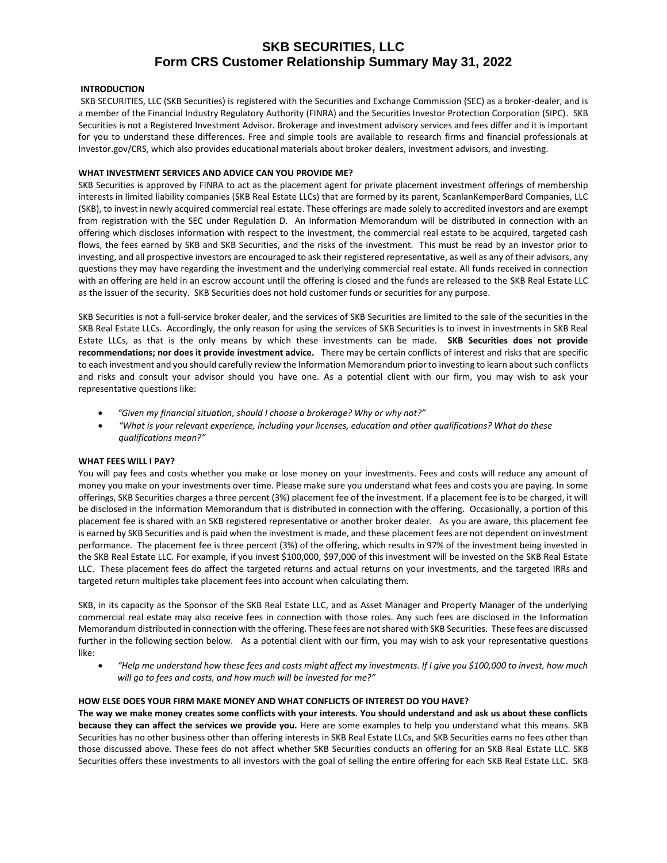# **SKB SECURITIES, LLC Form CRS Customer Relationship Summary May 31, 2022**

## **INTRODUCTION**

SKB SECURITIES, LLC (SKB Securities) is registered with the Securities and Exchange Commission (SEC) as a broker-dealer, and is a member of the Financial Industry Regulatory Authority (FINRA) and the Securities Investor Protection Corporation (SIPC). SKB Securities is not a Registered Investment Advisor. Brokerage and investment advisory services and fees differ and it is important for you to understand these differences. Free and simple tools are available to research firms and financial professionals at Investor.gov/CRS, which also provides educational materials about broker dealers, investment advisors, and investing.

#### **WHAT INVESTMENT SERVICES AND ADVICE CAN YOU PROVIDE ME?**

SKB Securities is approved by FINRA to act as the placement agent for private placement investment offerings of membership interests in limited liability companies (SKB Real Estate LLCs) that are formed by its parent, ScanlanKemperBard Companies, LLC (SKB), to invest in newly acquired commercial real estate. These offerings are made solely to accredited investors and are exempt from registration with the SEC under Regulation D. An Information Memorandum will be distributed in connection with an offering which discloses information with respect to the investment, the commercial real estate to be acquired, targeted cash flows, the fees earned by SKB and SKB Securities, and the risks of the investment. This must be read by an investor prior to investing, and all prospective investors are encouraged to ask their registered representative, as well as any of their advisors, any questions they may have regarding the investment and the underlying commercial real estate. All funds received in connection with an offering are held in an escrow account until the offering is closed and the funds are released to the SKB Real Estate LLC as the issuer of the security. SKB Securities does not hold customer funds or securities for any purpose.

SKB Securities is not a full-service broker dealer, and the services of SKB Securities are limited to the sale of the securities in the SKB Real Estate LLCs. Accordingly, the only reason for using the services of SKB Securities is to invest in investments in SKB Real Estate LLCs, as that is the only means by which these investments can be made. **SKB Securities does not provide recommendations; nor does it provide investment advice.** There may be certain conflicts of interest and risks that are specific to each investment and you should carefully review the Information Memorandum prior to investing to learn about such conflicts and risks and consult your advisor should you have one. As a potential client with our firm, you may wish to ask your representative questions like:

- *"Given my financial situation, should I choose a brokerage? Why or why not?"*
- *"What is your relevant experience, including your licenses, education and other qualifications? What do these qualifications mean?"*

# **WHAT FEES WILL I PAY?**

You will pay fees and costs whether you make or lose money on your investments. Fees and costs will reduce any amount of money you make on your investments over time. Please make sure you understand what fees and costs you are paying. In some offerings, SKB Securities charges a three percent (3%) placement fee of the investment. If a placement fee is to be charged, it will be disclosed in the Information Memorandum that is distributed in connection with the offering. Occasionally, a portion of this placement fee is shared with an SKB registered representative or another broker dealer. As you are aware, this placement fee is earned by SKB Securities and is paid when the investment is made, and these placement fees are not dependent on investment performance. The placement fee is three percent (3%) of the offering, which results in 97% of the investment being invested in the SKB Real Estate LLC. For example, if you invest \$100,000, \$97,000 of this investment will be invested on the SKB Real Estate LLC. These placement fees do affect the targeted returns and actual returns on your investments, and the targeted IRRs and targeted return multiples take placement fees into account when calculating them.

SKB, in its capacity as the Sponsor of the SKB Real Estate LLC, and as Asset Manager and Property Manager of the underlying commercial real estate may also receive fees in connection with those roles. Any such fees are disclosed in the Information Memorandum distributed in connection with the offering. These fees are not shared with SKB Securities. These fees are discussed further in the following section below. As a potential client with our firm, you may wish to ask your representative questions like:

 *"Help me understand how these fees and costs might affect my investments. If I give you \$100,000 to invest, how much will go to fees and costs, and how much will be invested for me?"*

### **HOW ELSE DOES YOUR FIRM MAKE MONEY AND WHAT CONFLICTS OF INTEREST DO YOU HAVE?**

**The way we make money creates some conflicts with your interests. You should understand and ask us about these conflicts because they can affect the services we provide you.** Here are some examples to help you understand what this means. SKB Securities has no other business other than offering interests in SKB Real Estate LLCs, and SKB Securities earns no fees other than those discussed above. These fees do not affect whether SKB Securities conducts an offering for an SKB Real Estate LLC. SKB Securities offers these investments to all investors with the goal of selling the entire offering for each SKB Real Estate LLC. SKB